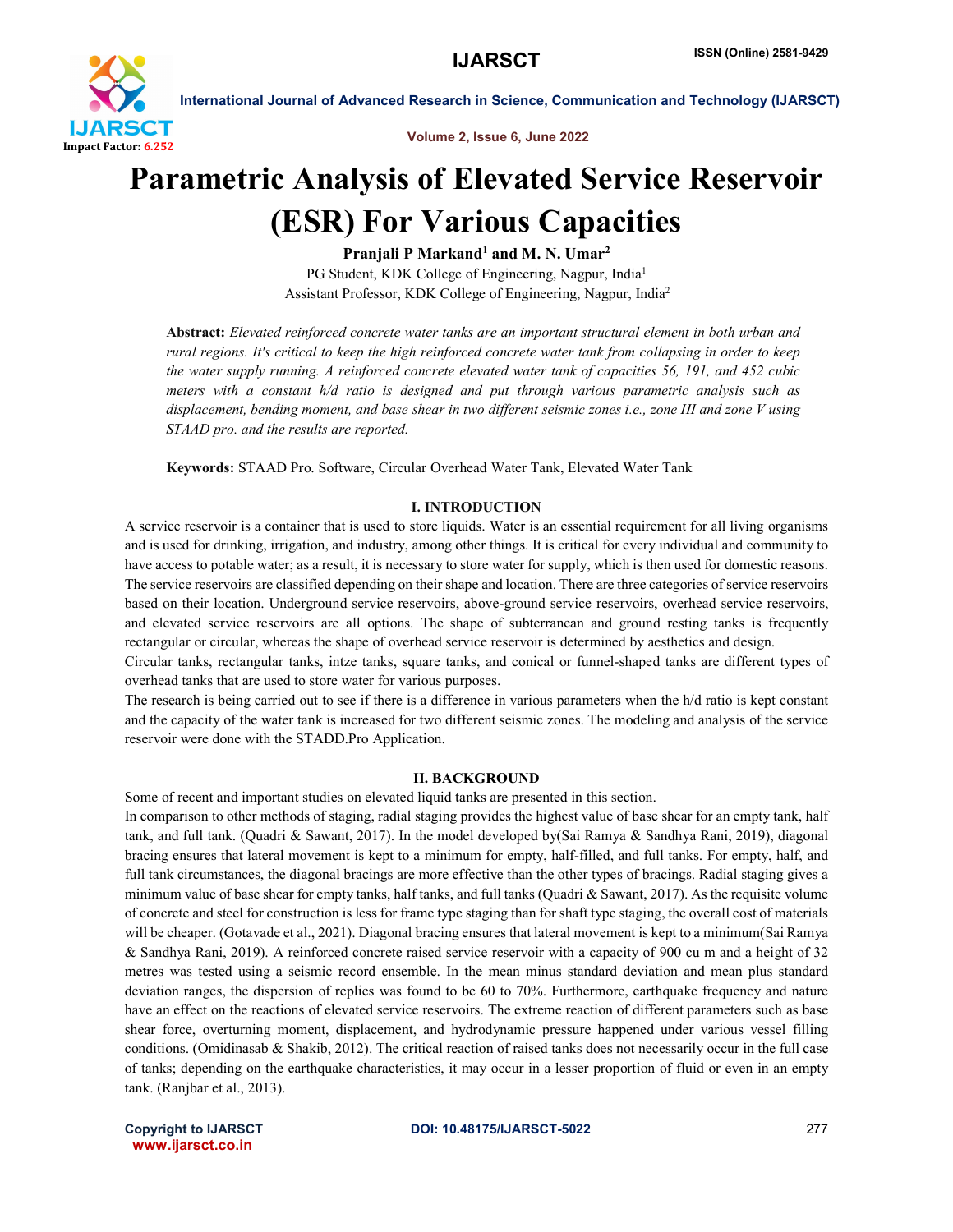

Volume 2, Issue 6, June 2022

## Parametric Analysis of Elevated Service Reservoir (ESR) For Various Capacities

Pranjali P Markand<sup>1</sup> and M. N. Umar<sup>2</sup> PG Student, KDK College of Engineering, Nagpur, India<sup>1</sup> Assistant Professor, KDK College of Engineering, Nagpur, India2

Abstract: *Elevated reinforced concrete water tanks are an important structural element in both urban and rural regions. It's critical to keep the high reinforced concrete water tank from collapsing in order to keep the water supply running. A reinforced concrete elevated water tank of capacities 56, 191, and 452 cubic meters with a constant h/d ratio is designed and put through various parametric analysis such as displacement, bending moment, and base shear in two different seismic zones i.e., zone III and zone V using STAAD pro. and the results are reported.*

Keywords: STAAD Pro. Software, Circular Overhead Water Tank, Elevated Water Tank

### I. INTRODUCTION

A service reservoir is a container that is used to store liquids. Water is an essential requirement for all living organisms and is used for drinking, irrigation, and industry, among other things. It is critical for every individual and community to have access to potable water; as a result, it is necessary to store water for supply, which is then used for domestic reasons. The service reservoirs are classified depending on their shape and location. There are three categories of service reservoirs based on their location. Underground service reservoirs, above-ground service reservoirs, overhead service reservoirs, and elevated service reservoirs are all options. The shape of subterranean and ground resting tanks is frequently rectangular or circular, whereas the shape of overhead service reservoir is determined by aesthetics and design.

Circular tanks, rectangular tanks, intze tanks, square tanks, and conical or funnel-shaped tanks are different types of overhead tanks that are used to store water for various purposes.

The research is being carried out to see if there is a difference in various parameters when the h/d ratio is kept constant and the capacity of the water tank is increased for two different seismic zones. The modeling and analysis of the service reservoir were done with the STADD.Pro Application.

#### II. BACKGROUND

Some of recent and important studies on elevated liquid tanks are presented in this section.

In comparison to other methods of staging, radial staging provides the highest value of base shear for an empty tank, half tank, and full tank. (Quadri & Sawant, 2017). In the model developed by(Sai Ramya & Sandhya Rani, 2019), diagonal bracing ensures that lateral movement is kept to a minimum for empty, half-filled, and full tanks. For empty, half, and full tank circumstances, the diagonal bracings are more effective than the other types of bracings. Radial staging gives a minimum value of base shear for empty tanks, half tanks, and full tanks (Quadri  $\&$  Sawant, 2017). As the requisite volume of concrete and steel for construction is less for frame type staging than for shaft type staging, the overall cost of materials will be cheaper. (Gotavade et al., 2021). Diagonal bracing ensures that lateral movement is kept to a minimum(Sai Ramya & Sandhya Rani, 2019). A reinforced concrete raised service reservoir with a capacity of 900 cu m and a height of 32 metres was tested using a seismic record ensemble. In the mean minus standard deviation and mean plus standard deviation ranges, the dispersion of replies was found to be 60 to 70%. Furthermore, earthquake frequency and nature have an effect on the reactions of elevated service reservoirs. The extreme reaction of different parameters such as base shear force, overturning moment, displacement, and hydrodynamic pressure happened under various vessel filling conditions. (Omidinasab & Shakib, 2012). The critical reaction of raised tanks does not necessarily occur in the full case of tanks; depending on the earthquake characteristics, it may occur in a lesser proportion of fluid or even in an empty tank. (Ranjbar et al., 2013).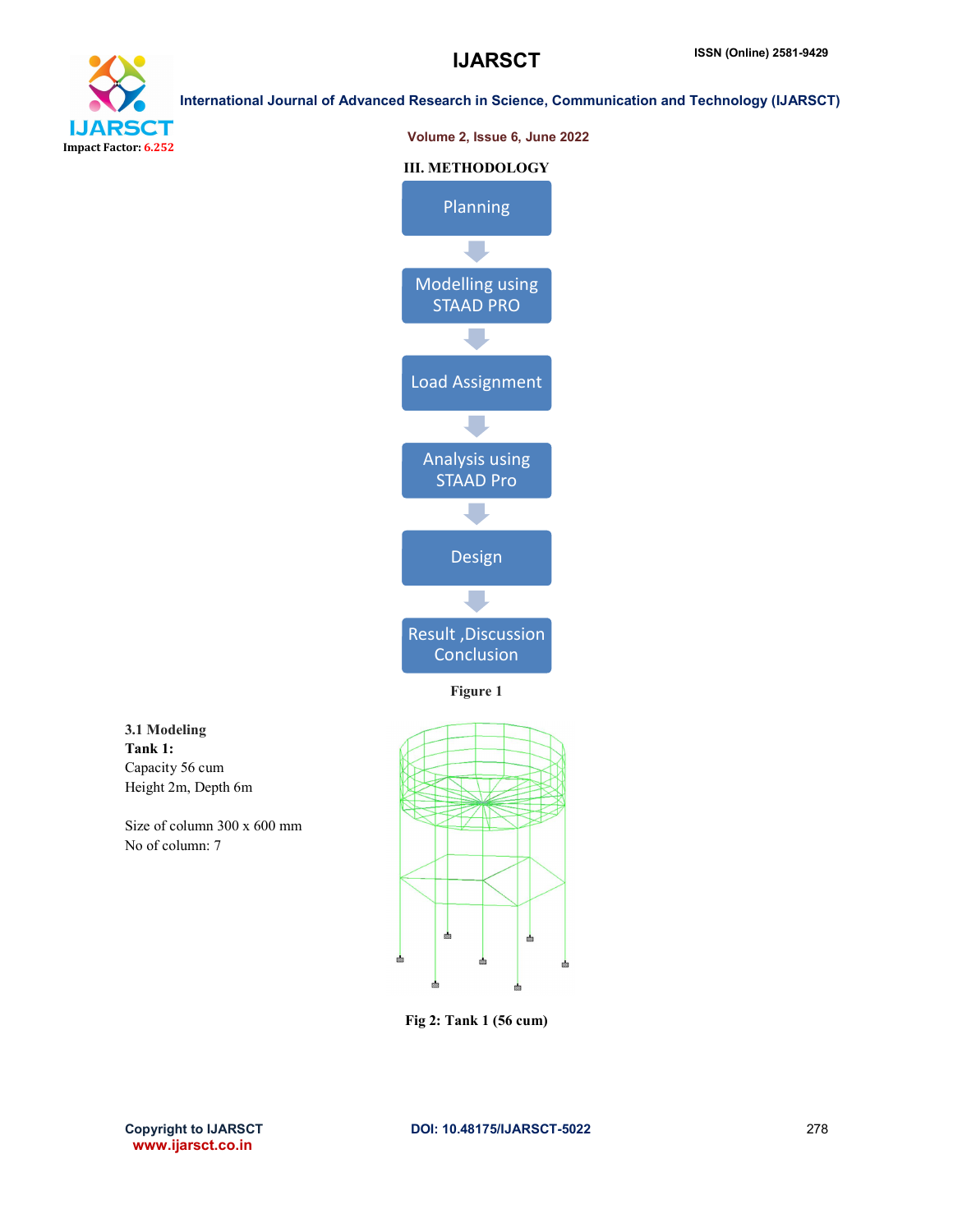





#### Fig 2: Tank 1 (56 cum)

www.ijarsct.co.in

3.1 Modeling Tank 1:

Capacity 56 cum Height 2m, Depth 6m

No of column: 7

Size of column 300 x 600 mm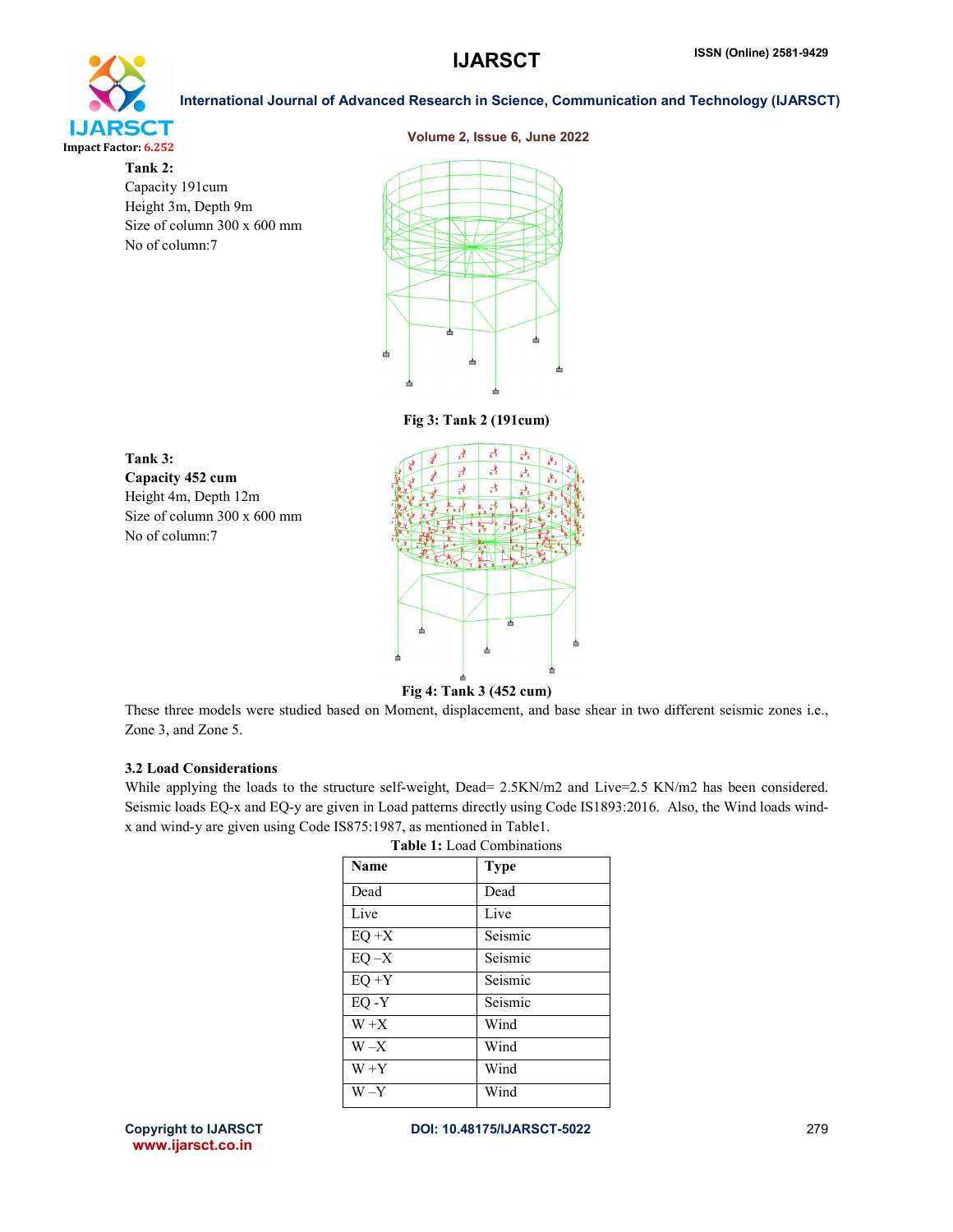# **IJARSCT** Impact Factor: 6.252

Tank 2: Capacity 191cum Height 3m, Depth 9m Size of column 300 x 600 mm No of column:7



International Journal of Advanced Research in Science, Communication and Technology (IJARSCT)

Fig 3: Tank 2 (191cum)





Fig 4: Tank 3 (452 cum)

These three models were studied based on Moment, displacement, and base shear in two different seismic zones i.e., Zone 3, and Zone 5.

### 3.2 Load Considerations

While applying the loads to the structure self-weight, Dead= 2.5KN/m2 and Live=2.5 KN/m2 has been considered. Seismic loads EQ-x and EQ-y are given in Load patterns directly using Code IS1893:2016. Also, the Wind loads windx and wind-y are given using Code IS875:1987, as mentioned in Table1.

| <b>Name</b> | <b>Type</b> |
|-------------|-------------|
| Dead        | Dead        |
| Live        | Live        |
| $EQ+X$      | Seismic     |
| $EQ - X$    | Seismic     |
| $EQ + Y$    | Seismic     |
| $EQ - Y$    | Seismic     |
| $W+X$       | Wind        |
| $W - X$     | Wind        |
| $W + Y$     | Wind        |
| W –Y        | Wind        |

Table 1: Load Combinations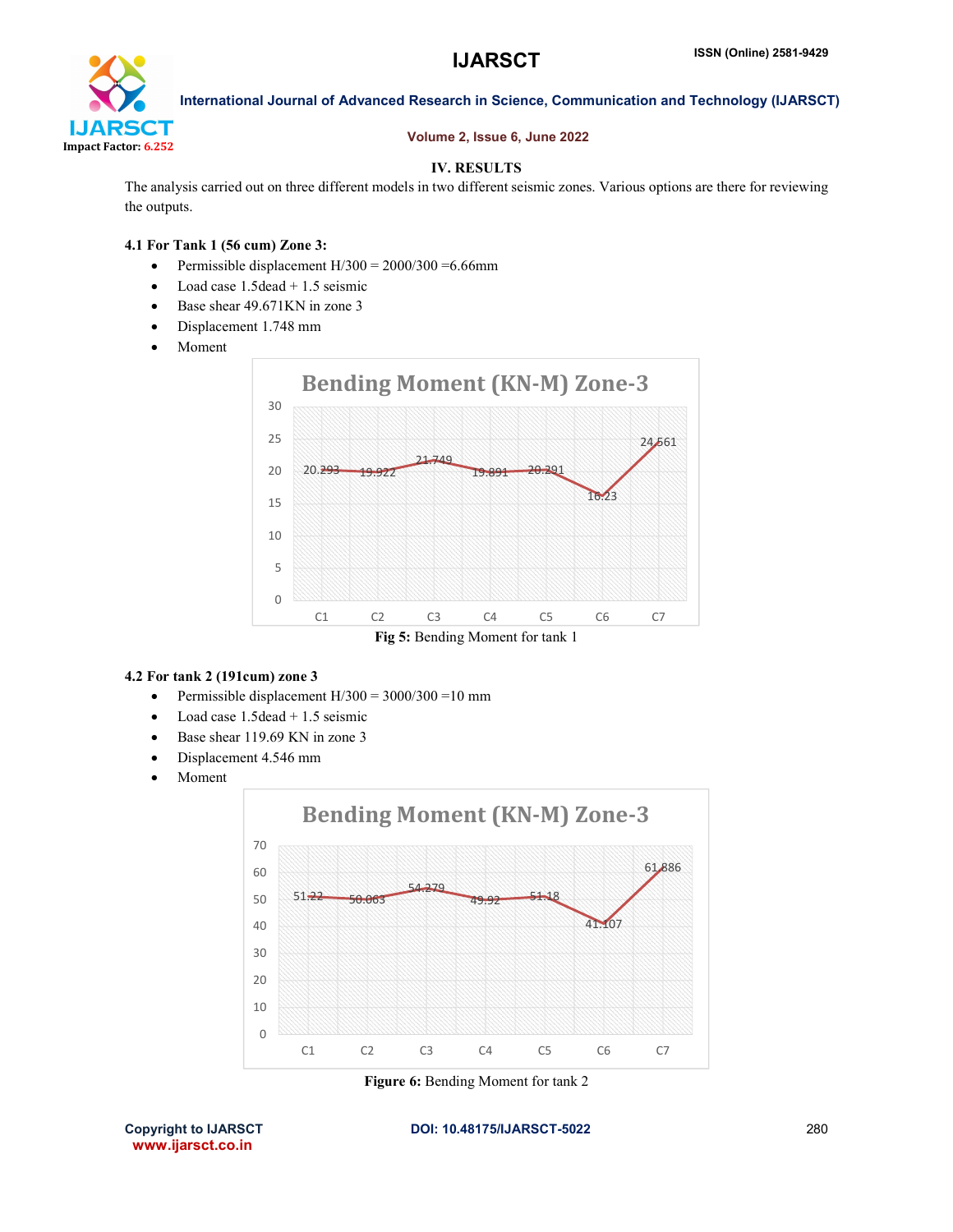

### Volume 2, Issue 6, June 2022

### IV. RESULTS

The analysis carried out on three different models in two different seismic zones. Various options are there for reviewing the outputs.

#### 4.1 For Tank 1 (56 cum) Zone 3:

- Permissible displacement  $H/300 = 2000/300 = 6.66$ mm
- $\bullet$  Load case 1.5 dead + 1.5 seismic
- Base shear 49.671KN in zone 3
- Displacement 1.748 mm
- Moment



### 4.2 For tank 2 (191cum) zone 3

- Permissible displacement  $H/300 = 3000/300 = 10$  mm
- $\bullet$  Load case 1.5 dead + 1.5 seismic
- Base shear 119.69 KN in zone 3
- Displacement 4.546 mm
- Moment



Figure 6: Bending Moment for tank 2

www.ijarsct.co.in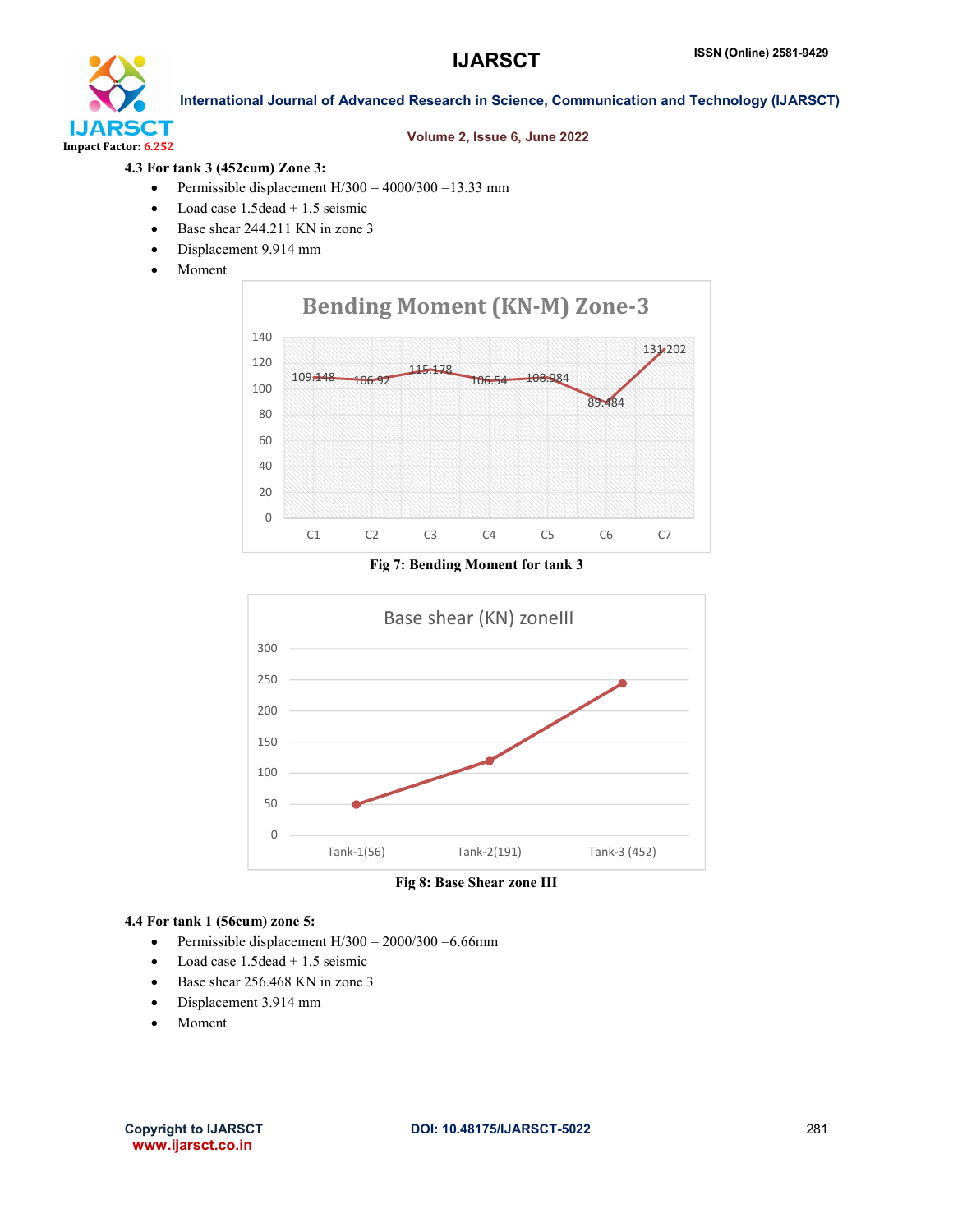

#### Volume 2, Issue 6, June 2022

### 4.3 For tank 3 (452cum) Zone 3:

- Permissible displacement  $H/300 = 4000/300 = 13.33$  mm
- $\bullet$  Load case 1.5 dead + 1.5 seismic
- Base shear 244.211 KN in zone 3
- Displacement 9.914 mm
- Moment



Fig 7: Bending Moment for tank 3



Fig 8: Base Shear zone III

#### 4.4 For tank 1 (56cum) zone 5:

- Permissible displacement  $H/300 = 2000/300 = 6.66$ mm
- $\bullet$  Load case 1.5 dead  $+$  1.5 seismic
- Base shear 256.468 KN in zone 3
- Displacement 3.914 mm
- Moment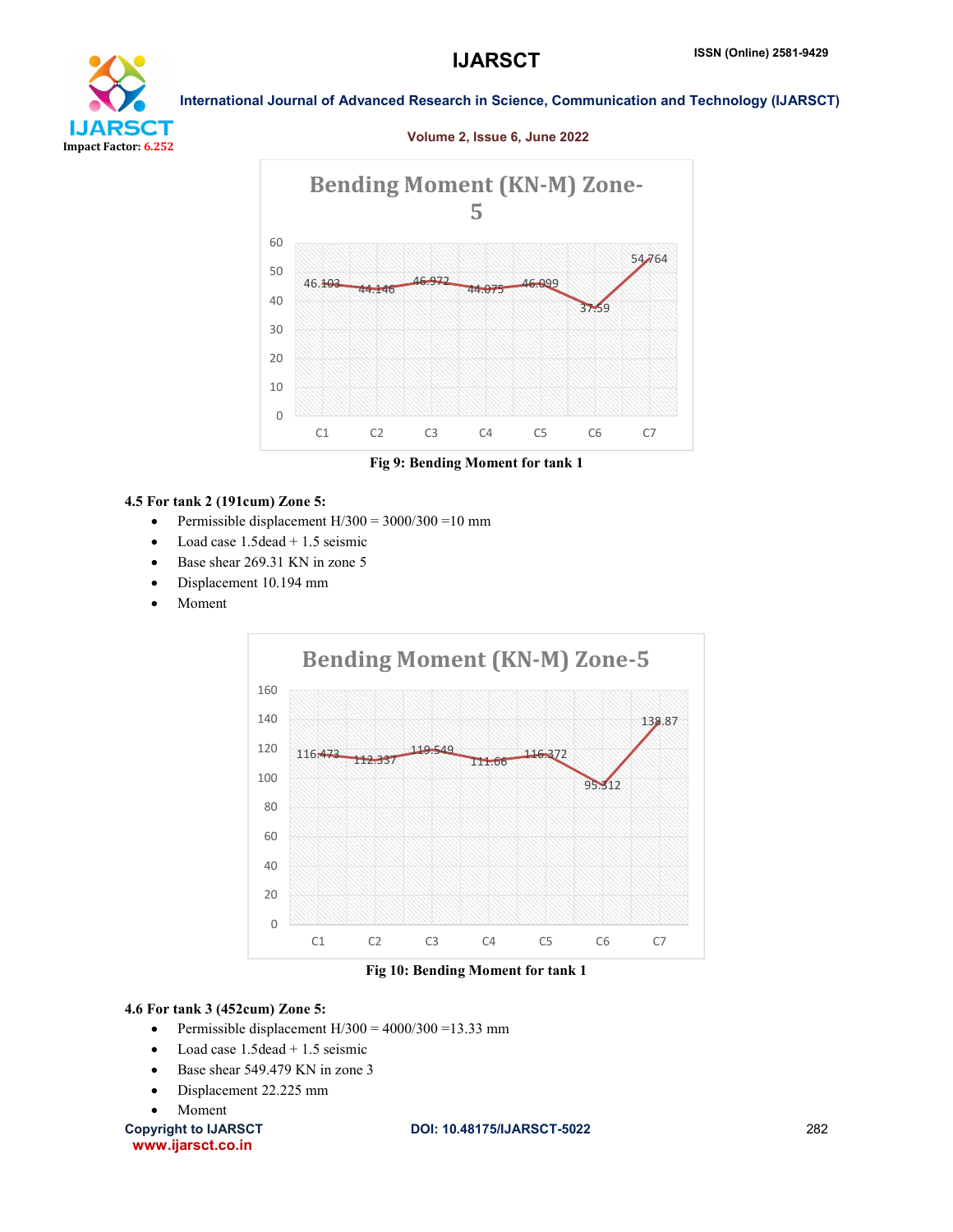

#### Volume 2, Issue 6, June 2022



Fig 9: Bending Moment for tank 1

#### 4.5 For tank 2 (191cum) Zone 5:

- Permissible displacement  $H/300 = 3000/300 = 10$  mm
- Load case 1.5dead + 1.5 seismic
- Base shear 269.31 KN in zone 5
- Displacement 10.194 mm
- Moment



Fig 10: Bending Moment for tank 1

### 4.6 For tank 3 (452cum) Zone 5:

- Permissible displacement  $H/300 = 4000/300 = 13.33$  mm
- $\bullet$  Load case 1.5 dead + 1.5 seismic
- Base shear 549.479 KN in zone 3
- Displacement 22.225 mm
- Moment

www.ijarsct.co.in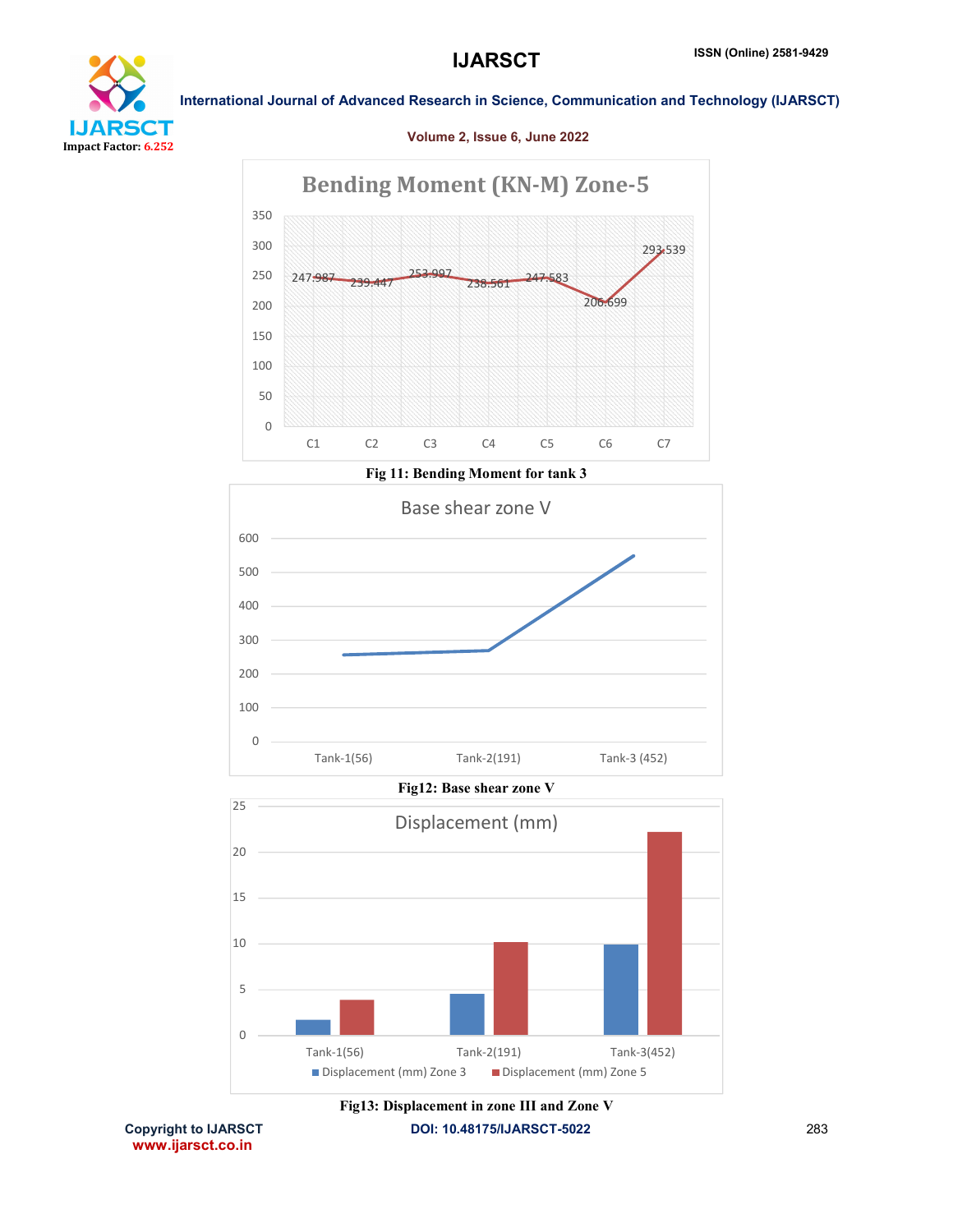

#### Volume 2, Issue 6, June 2022



Tank-1(56) Tank-2(191) Tank-3(452)

Displacement (mm) Zone 3 Displacement (mm) Zone 5

Copyright to IJARSCT **DOI: 10.48175/IJARSCT-5022** 283 www.ijarsct.co.in Fig13: Displacement in zone III and Zone V

0

5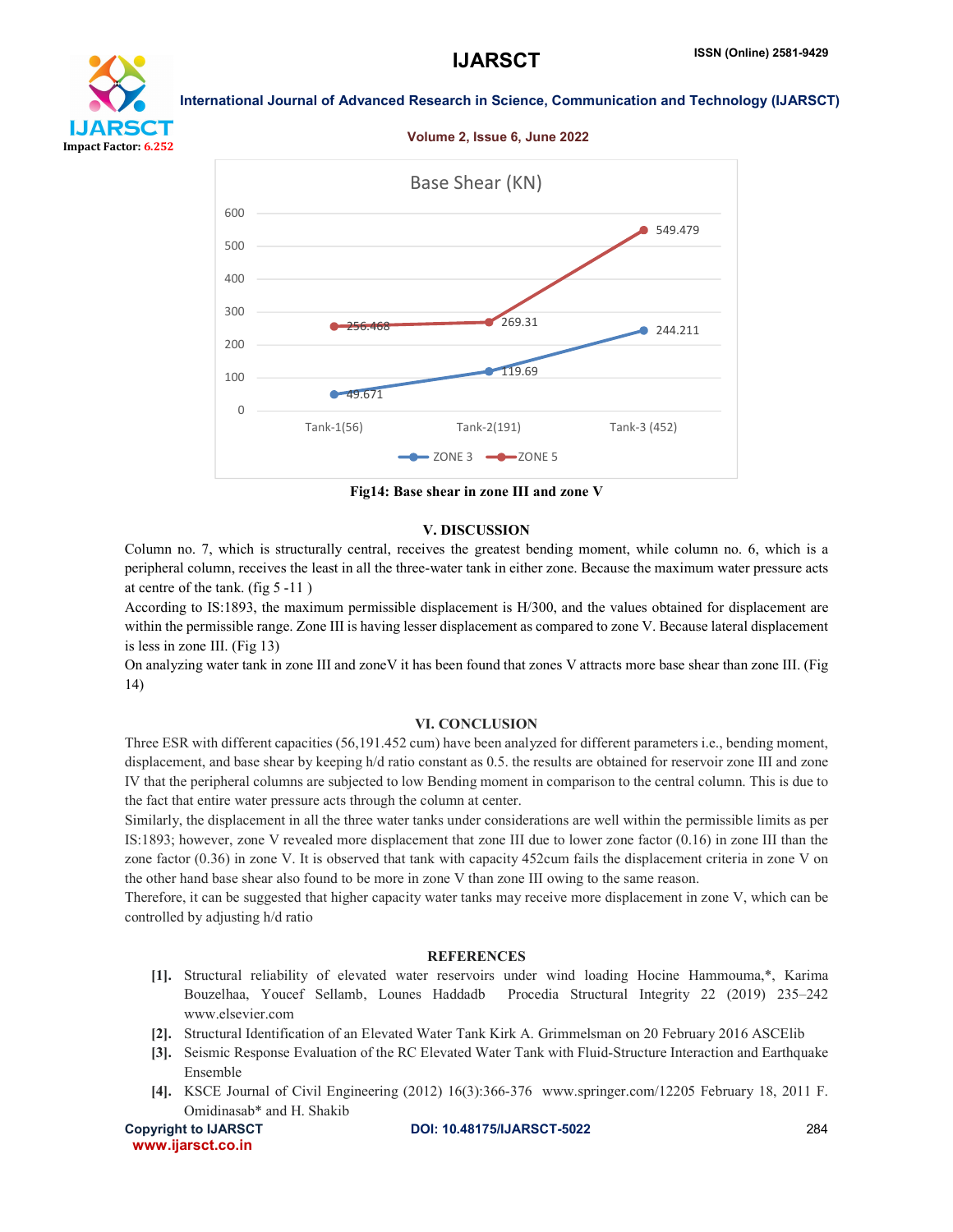





Fig14: Base shear in zone III and zone V

#### V. DISCUSSION

Column no. 7, which is structurally central, receives the greatest bending moment, while column no. 6, which is a peripheral column, receives the least in all the three-water tank in either zone. Because the maximum water pressure acts at centre of the tank. (fig 5 -11 )

According to IS:1893, the maximum permissible displacement is H/300, and the values obtained for displacement are within the permissible range. Zone III is having lesser displacement as compared to zone V. Because lateral displacement is less in zone III. (Fig 13)

On analyzing water tank in zone III and zoneV it has been found that zones V attracts more base shear than zone III. (Fig 14)

#### VI. CONCLUSION

Three ESR with different capacities (56,191.452 cum) have been analyzed for different parameters i.e., bending moment, displacement, and base shear by keeping h/d ratio constant as 0.5. the results are obtained for reservoir zone III and zone IV that the peripheral columns are subjected to low Bending moment in comparison to the central column. This is due to the fact that entire water pressure acts through the column at center.

Similarly, the displacement in all the three water tanks under considerations are well within the permissible limits as per IS:1893; however, zone V revealed more displacement that zone III due to lower zone factor (0.16) in zone III than the zone factor (0.36) in zone V. It is observed that tank with capacity 452cum fails the displacement criteria in zone V on the other hand base shear also found to be more in zone V than zone III owing to the same reason.

Therefore, it can be suggested that higher capacity water tanks may receive more displacement in zone V, which can be controlled by adjusting h/d ratio

#### **REFERENCES**

- [1]. Structural reliability of elevated water reservoirs under wind loading Hocine Hammouma,\*, Karima Bouzelhaa, Youcef Sellamb, Lounes Haddadb Procedia Structural Integrity 22 (2019) 235–242 www.elsevier.com
- [2]. Structural Identification of an Elevated Water Tank Kirk A. Grimmelsman on 20 February 2016 ASCElib
- [3]. Seismic Response Evaluation of the RC Elevated Water Tank with Fluid-Structure Interaction and Earthquake Ensemble
- [4]. KSCE Journal of Civil Engineering (2012) 16(3):366-376 www.springer.com/12205 February 18, 2011 F. Omidinasab\* and H. Shakib